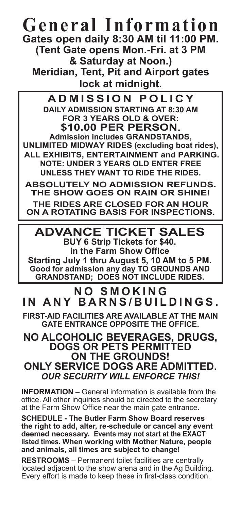## **General Information Gates open daily 8:30 AM til 11:00 PM. (Tent Gate opens Mon.-Fri. at 3 PM & Saturday at Noon.)**

**Meridian, Tent, Pit and Airport gates lock at midnight.**

**ADMISSION POLICY DAILY ADMISSION STARTING AT 8:30 AM FOR 3 YEARS OLD & OVER: \$10.00 PER PERSON. Admission includes GRANDSTANDS, UNLIMITED MIDWAY RIDES (excluding boat rides), ALL EXHIBITS, ENTERTAINMENT and PARKING. NOTE: UNDER 3 YEARS OLD ENTER FREE UNLESS THEY WANT TO RIDE THE RIDES.**

**ABSOLUTELY NO ADMISSION REFUNDS. THE SHOW GOES ON RAIN OR SHINE!**

**THE RIDES ARE CLOSED FOR AN HOUR ON A ROTATING BASIS FOR INSPECTIONS.**

**ADVANCE TICKET SALES BUY 6 Strip Tickets for \$40. in the Farm Show Office Starting July 1 thru August 5, 10 AM to 5 PM.** 

**Good for admission any day TO GROUNDS AND GRANDSTAND; DOES NOT INCLUDE RIDES.** 

### **N O S M O K I N G IN ANY BARNS/BUILDINGS .**

**FIRST-AID FACILITIES ARE AVAILABLE AT THE MAIN GATE ENTRANCE OPPOSITE THE OFFICE.**

### **NO ALCOHOLIC BEVERAGES, DRUGS, DOGS OR PETS PERMITTED ON THE GROUNDS! ONLY SERVICE DOGS ARE ADMITTED.** *OUR SECURITY WILL ENFORCE THIS!*

**INFORMATION –** General information is available from the office. All other inquiries should be directed to the secretary at the Farm Show Office near the main gate entrance.

**SCHEDULE - The Butler Farm Show Board reserves the right to add, alter, re-schedule or cancel any event deemed necessary. Events may not start at the EXACT listed times. When working with Mother Nature, people and animals, all times are subject to change!** 

**RESTROOMS** – Permanent toilet facilities are centrally located adjacent to the show arena and in the Ag Building. Every effort is made to keep these in first-class condition.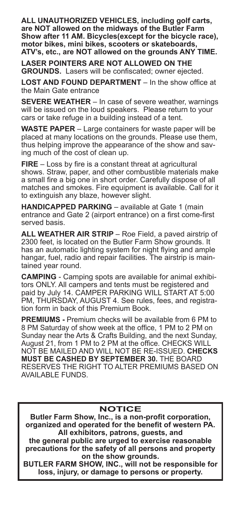**ALL UNAUTHORIZED VEHICLES, including golf carts, are NOT allowed on the midways of the Butler Farm Show after 11 AM. Bicycles(except for the bicycle race), motor bikes, mini bikes, scooters or skateboards, ATV's, etc., are NOT allowed on the grounds ANY TIME.**

**LASER POINTERS ARE NOT ALLOWED ON THE GROUNDS.** Lasers will be confiscated; owner ejected.

**LOST AND FOUND DEPARTMENT** – In the show office at the Main Gate entrance

**SEVERE WEATHER** – In case of severe weather, warnings will be issued on the loud speakers. Please return to your cars or take refuge in a building instead of a tent.

**WASTE PAPER** – Large containers for waste paper will be placed at many locations on the grounds. Please use them, thus helping improve the appearance of the show and saving much of the cost of clean up.

**FIRE** – Loss by fire is a constant threat at agricultural shows. Straw, paper, and other combustible materials make a small fire a big one in short order. Carefully dispose of all matches and smokes. Fire equipment is available. Call for it to extinguish any blaze, however slight.

**HANDICAPPED PARKING** – available at Gate 1 (main entrance and Gate 2 (airport entrance) on a first come-first served basis.

**ALL WEATHER AIR STRIP** – Roe Field, a paved airstrip of 2300 feet, is located on the Butler Farm Show grounds. It has an automatic lighting system for night flying and ample hangar, fuel, radio and repair facilities. The airstrip is maintained year round.

**CAMPING** - Camping spots are available for animal exhibitors ONLY. All campers and tents must be registered and paid by July 14. CAMPER PARKING WILL START AT 5:00 PM, THURSDAY, AUGUST 4. See rules, fees, and registration form in back of this Premium Book.

**PREMIUMS -** Premium checks will be available from 6 PM to 8 PM Saturday of show week at the office, 1 PM to 2 PM on Sunday near the Arts & Crafts Building, and the next Sunday, August 21, from 1 PM to 2 PM at the office. CHECKS WILL NOT BE MAILED AND WILL NOT BE RE-ISSUED. **CHECKS MUST BE CASHED BY SEPTEMBER 30.** THE BOARD RESERVES THE RIGHT TO ALTER PREMIUMS BASED ON AVAILABLE FUNDS.

#### **NOTICE**

**Butler Farm Show, Inc., is a non-profit corporation, organized and operated for the benefit of western PA. All exhibitors, patrons, guests, and** 

**the general public are urged to exercise reasonable precautions for the safety of all persons and property on the show grounds.** 

**BUTLER FARM SHOW, INC., will not be responsible for loss, injury, or damage to persons or property.**